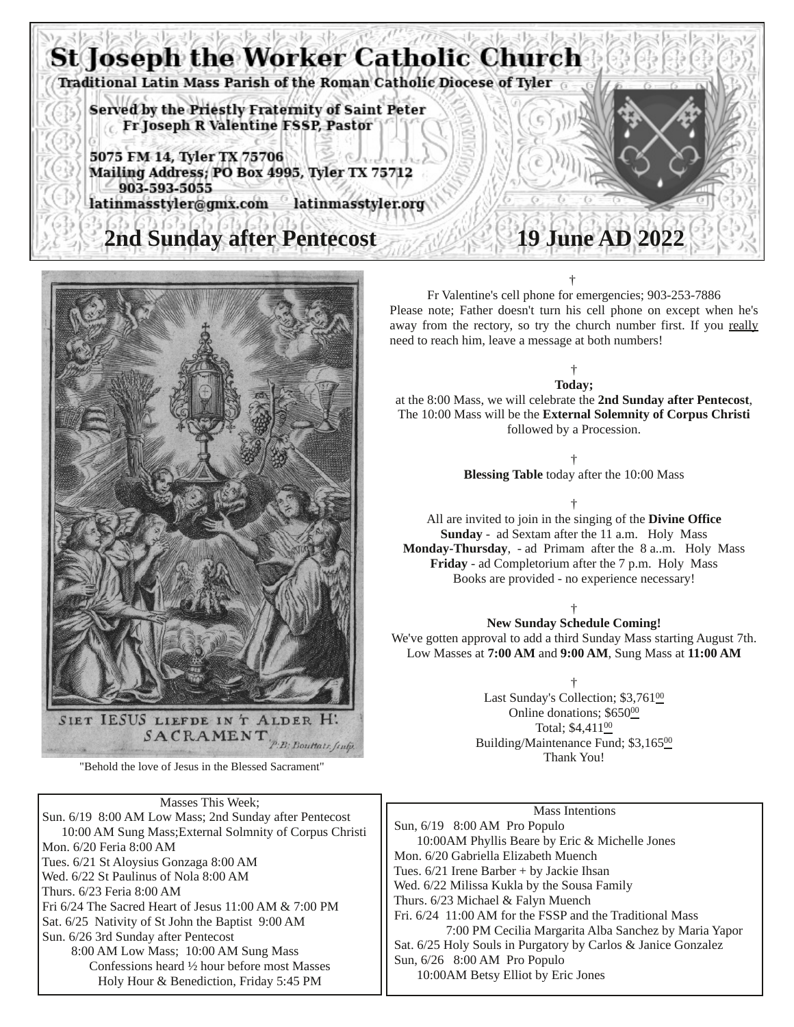



"Behold the love of Jesus in the Blessed Sacrament"

Masses This Week; Sun. 6/19 8:00 AM Low Mass; 2nd Sunday after Pentecost 10:00 AM Sung Mass;External Solmnity of Corpus Christi Mon. 6/20 Feria 8:00 AM Tues. 6/21 St Aloysius Gonzaga 8:00 AM Wed. 6/22 St Paulinus of Nola 8:00 AM Thurs. 6/23 Feria 8:00 AM Fri 6/24 The Sacred Heart of Jesus 11:00 AM & 7:00 PM Sat. 6/25 Nativity of St John the Baptist 9:00 AM Sun. 6/26 3rd Sunday after Pentecost 8:00 AM Low Mass; 10:00 AM Sung Mass Confessions heard ½ hour before most Masses Holy Hour & Benediction, Friday 5:45 PM

# Fr Valentine's cell phone for emergencies; 903-253-7886

Please note; Father doesn't turn his cell phone on except when he's away from the rectory, so try the church number first. If you really need to reach him, leave a message at both numbers!

† **Today;** at the 8:00 Mass, we will celebrate the **2nd Sunday after Pentecost**, The 10:00 Mass will be the **External Solemnity of Corpus Christi** followed by a Procession.

> † **Blessing Table** today after the 10:00 Mass

> > †

All are invited to join in the singing of the **Divine Office Sunday** - ad Sextam after the 11 a.m. Holy Mass **Monday-Thursday**, - ad Primam after the 8 a..m. Holy Mass **Friday** - ad Completorium after the 7 p.m. Holy Mass Books are provided - no experience necessary!

†

### **New Sunday Schedule Coming!**

We've gotten approval to add a third Sunday Mass starting August 7th. Low Masses at **7:00 AM** and **9:00 AM**, Sung Mass at **11:00 AM**

†

Last Sunday's Collection; \$3,76100 Online donations; \$650<sup>00</sup> Total; \$4,411<sup>00</sup> Building/Maintenance Fund; \$3,16500 Thank You!

|    | Mass Intentions                                               |
|----|---------------------------------------------------------------|
| ti | Sun, 6/19 8:00 AM Pro Populo                                  |
|    | 10:00AM Phyllis Beare by Eric & Michelle Jones                |
|    | Mon. 6/20 Gabriella Elizabeth Muench                          |
|    | Tues. 6/21 Irene Barber + by Jackie Ihsan                     |
|    | Wed. 6/22 Milissa Kukla by the Sousa Family                   |
|    | Thurs. 6/23 Michael & Falyn Muench                            |
|    | Fri. 6/24 11:00 AM for the FSSP and the Traditional Mass      |
|    | 7:00 PM Cecilia Margarita Alba Sanchez by Maria Yapor         |
|    | Sat. 6/25 Holy Souls in Purgatory by Carlos & Janice Gonzalez |
|    | Sun, 6/26 8:00 AM Pro Populo                                  |
|    | 10:00AM Betsy Elliot by Eric Jones                            |